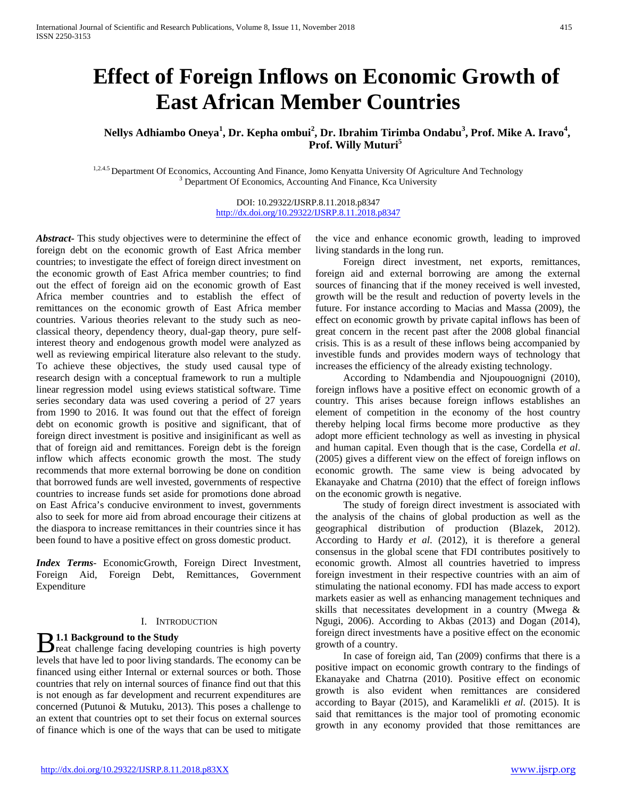# **Effect of Foreign Inflows on Economic Growth of East African Member Countries**

<code>Nellys Adhiambo Oneya $^1$ , Dr. Kepha ombui $^2$ , Dr. Ibrahim Tirimba Ondabu $^3$ , Prof. Mike A. Iravo $^4$ ,</code> **Prof. Willy Muturi<sup>5</sup>**

<sup>1,2.4.5</sup> Department Of Economics, Accounting And Finance, Jomo Kenyatta University Of Agriculture And Technology  $3$  Department Of Economics, Accounting And Finance, Kca University

DOI: 10.29322/IJSRP.8.11.2018.p8347 <http://dx.doi.org/10.29322/IJSRP.8.11.2018.p8347>

*Abstract***-** This study objectives were to determinine the effect of foreign debt on the economic growth of East Africa member countries; to investigate the effect of foreign direct investment on the economic growth of East Africa member countries; to find out the effect of foreign aid on the economic growth of East Africa member countries and to establish the effect of remittances on the economic growth of East Africa member countries. Various theories relevant to the study such as neoclassical theory, dependency theory, dual-gap theory, pure selfinterest theory and endogenous growth model were analyzed as well as reviewing empirical literature also relevant to the study. To achieve these objectives, the study used causal type of research design with a conceptual framework to run a multiple linear regression model using eviews statistical software. Time series secondary data was used covering a period of 27 years from 1990 to 2016. It was found out that the effect of foreign debt on economic growth is positive and significant, that of foreign direct investment is positive and insiginificant as well as that of foreign aid and remittances. Foreign debt is the foreign inflow which affects economic growth the most. The study recommends that more external borrowing be done on condition that borrowed funds are well invested, governments of respective countries to increase funds set aside for promotions done abroad on East Africa's conducive environment to invest, governments also to seek for more aid from abroad encourage their citizens at the diaspora to increase remittances in their countries since it has been found to have a positive effect on gross domestic product.

*Index Terms*- EconomicGrowth, Foreign Direct Investment, Foreign Aid, Foreign Debt, Remittances, Government Expenditure

## I. INTRODUCTION

# **1.1 Background to the Study**

 $\mathbf{B}$  1.1 Background to the Study<br>reat challenge facing developing countries is high poverty levels that have led to poor living standards. The economy can be financed using either Internal or external sources or both. Those countries that rely on internal sources of finance find out that this is not enough as far development and recurrent expenditures are concerned (Putunoi & Mutuku, 2013). This poses a challenge to an extent that countries opt to set their focus on external sources of finance which is one of the ways that can be used to mitigate

the vice and enhance economic growth, leading to improved living standards in the long run.

 Foreign direct investment, net exports, remittances, foreign aid and external borrowing are among the external sources of financing that if the money received is well invested, growth will be the result and reduction of poverty levels in the future. For instance according to Macias and Massa (2009), the effect on economic growth by private capital inflows has been of great concern in the recent past after the 2008 global financial crisis. This is as a result of these inflows being accompanied by investible funds and provides modern ways of technology that increases the efficiency of the already existing technology.

 According to Ndambendia and Njoupouognigni (2010), foreign inflows have a positive effect on economic growth of a country. This arises because foreign inflows establishes an element of competition in the economy of the host country thereby helping local firms become more productive as they adopt more efficient technology as well as investing in physical and human capital. Even though that is the case, Cordella *et al*. (2005) gives a different view on the effect of foreign inflows on economic growth. The same view is being advocated by Ekanayake and Chatrna (2010) that the effect of foreign inflows on the economic growth is negative.

 The study of foreign direct investment is associated with the analysis of the chains of global production as well as the geographical distribution of production (Blazek, 2012). According to Hardy *et al*. (2012), it is therefore a general consensus in the global scene that FDI contributes positively to economic growth. Almost all countries havetried to impress foreign investment in their respective countries with an aim of stimulating the national economy. FDI has made access to export markets easier as well as enhancing management techniques and skills that necessitates development in a country (Mwega & Ngugi, 2006). According to Akbas (2013) and Dogan (2014), foreign direct investments have a positive effect on the economic growth of a country.

 In case of foreign aid, Tan (2009) confirms that there is a positive impact on economic growth contrary to the findings of Ekanayake and Chatrna (2010). Positive effect on economic growth is also evident when remittances are considered according to Bayar (2015), and Karamelikli *et al*. (2015). It is said that remittances is the major tool of promoting economic growth in any economy provided that those remittances are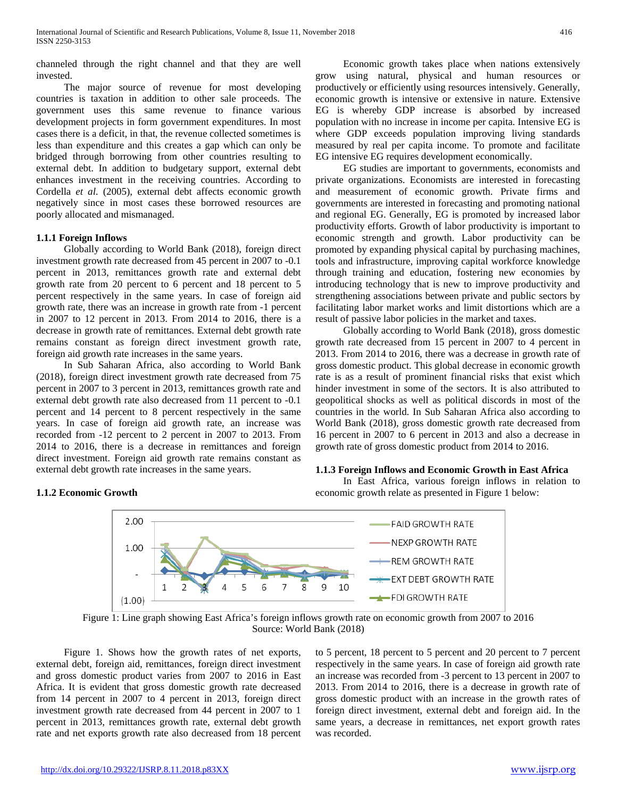channeled through the right channel and that they are well invested.

 The major source of revenue for most developing countries is taxation in addition to other sale proceeds. The government uses this same revenue to finance various development projects in form government expenditures. In most cases there is a deficit, in that, the revenue collected sometimes is less than expenditure and this creates a gap which can only be bridged through borrowing from other countries resulting to external debt. In addition to budgetary support, external debt enhances investment in the receiving countries. According to Cordella *et al*. (2005), external debt affects economic growth negatively since in most cases these borrowed resources are poorly allocated and mismanaged.

### **1.1.1 Foreign Inflows**

 Globally according to World Bank (2018), foreign direct investment growth rate decreased from 45 percent in 2007 to -0.1 percent in 2013, remittances growth rate and external debt growth rate from 20 percent to 6 percent and 18 percent to 5 percent respectively in the same years. In case of foreign aid growth rate, there was an increase in growth rate from -1 percent in 2007 to 12 percent in 2013. From 2014 to 2016, there is a decrease in growth rate of remittances. External debt growth rate remains constant as foreign direct investment growth rate, foreign aid growth rate increases in the same years.

 In Sub Saharan Africa, also according to World Bank (2018), foreign direct investment growth rate decreased from 75 percent in 2007 to 3 percent in 2013, remittances growth rate and external debt growth rate also decreased from 11 percent to -0.1 percent and 14 percent to 8 percent respectively in the same years. In case of foreign aid growth rate, an increase was recorded from -12 percent to 2 percent in 2007 to 2013. From 2014 to 2016, there is a decrease in remittances and foreign direct investment. Foreign aid growth rate remains constant as external debt growth rate increases in the same years.

### **1.1.2 Economic Growth**

 Economic growth takes place when nations extensively grow using natural, physical and human resources or productively or efficiently using resources intensively. Generally, economic growth is intensive or extensive in nature. Extensive EG is whereby GDP increase is absorbed by increased population with no increase in income per capita. Intensive EG is where GDP exceeds population improving living standards measured by real per capita income. To promote and facilitate EG intensive EG requires development economically.

 EG studies are important to governments, economists and private organizations. Economists are interested in forecasting and measurement of economic growth. Private firms and governments are interested in forecasting and promoting national and regional EG. Generally, EG is promoted by increased labor productivity efforts. Growth of labor productivity is important to economic strength and growth. Labor productivity can be promoted by expanding physical capital by purchasing machines, tools and infrastructure, improving capital workforce knowledge through training and education, fostering new economies by introducing technology that is new to improve productivity and strengthening associations between private and public sectors by facilitating labor market works and limit distortions which are a result of passive labor policies in the market and taxes.

 Globally according to World Bank (2018), gross domestic growth rate decreased from 15 percent in 2007 to 4 percent in 2013. From 2014 to 2016, there was a decrease in growth rate of gross domestic product. This global decrease in economic growth rate is as a result of prominent financial risks that exist which hinder investment in some of the sectors. It is also attributed to geopolitical shocks as well as political discords in most of the countries in the world. In Sub Saharan Africa also according to World Bank (2018), gross domestic growth rate decreased from 16 percent in 2007 to 6 percent in 2013 and also a decrease in growth rate of gross domestic product from 2014 to 2016.

#### **1.1.3 Foreign Inflows and Economic Growth in East Africa**

 In East Africa, various foreign inflows in relation to economic growth relate as presented in Figure 1 below:



Figure 1: Line graph showing East Africa's foreign inflows growth rate on economic growth from 2007 to 2016 Source: World Bank (2018)

 Figure 1. Shows how the growth rates of net exports, external debt, foreign aid, remittances, foreign direct investment and gross domestic product varies from 2007 to 2016 in East Africa. It is evident that gross domestic growth rate decreased from 14 percent in 2007 to 4 percent in 2013, foreign direct investment growth rate decreased from 44 percent in 2007 to 1 percent in 2013, remittances growth rate, external debt growth rate and net exports growth rate also decreased from 18 percent to 5 percent, 18 percent to 5 percent and 20 percent to 7 percent respectively in the same years. In case of foreign aid growth rate an increase was recorded from -3 percent to 13 percent in 2007 to 2013. From 2014 to 2016, there is a decrease in growth rate of gross domestic product with an increase in the growth rates of foreign direct investment, external debt and foreign aid. In the same years, a decrease in remittances, net export growth rates was recorded.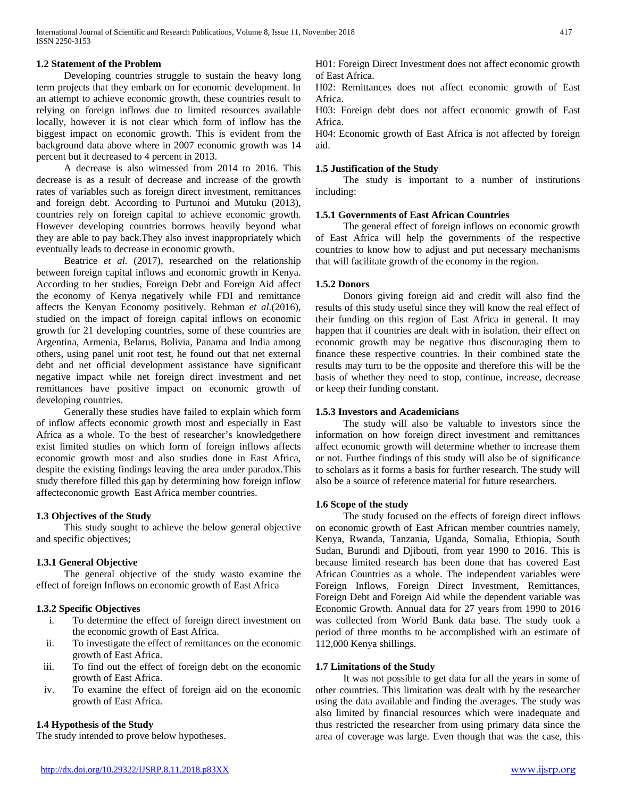# **1.2 Statement of the Problem**

 Developing countries struggle to sustain the heavy long term projects that they embark on for economic development. In an attempt to achieve economic growth, these countries result to relying on foreign inflows due to limited resources available locally, however it is not clear which form of inflow has the biggest impact on economic growth. This is evident from the background data above where in 2007 economic growth was 14 percent but it decreased to 4 percent in 2013.

 A decrease is also witnessed from 2014 to 2016. This decrease is as a result of decrease and increase of the growth rates of variables such as foreign direct investment, remittances and foreign debt. According to Purtunoi and Mutuku (2013), countries rely on foreign capital to achieve economic growth. However developing countries borrows heavily beyond what they are able to pay back.They also invest inappropriately which eventually leads to decrease in economic growth.

Beatrice et al. (2017), researched on the relationship between foreign capital inflows and economic growth in Kenya. According to her studies, Foreign Debt and Foreign Aid affect the economy of Kenya negatively while FDI and remittance affects the Kenyan Economy positively. Rehman *et al.*(2016), studied on the impact of foreign capital inflows on economic growth for 21 developing countries, some of these countries are Argentina, Armenia, Belarus, Bolivia, Panama and India among others, using panel unit root test, he found out that net external debt and net official development assistance have significant negative impact while net foreign direct investment and net remittances have positive impact on economic growth of developing countries.

 Generally these studies have failed to explain which form of inflow affects economic growth most and especially in East Africa as a whole. To the best of researcher's knowledgethere exist limited studies on which form of foreign inflows affects economic growth most and also studies done in East Africa, despite the existing findings leaving the area under paradox.This study therefore filled this gap by determining how foreign inflow affecteconomic growth East Africa member countries.

# **1.3 Objectives of the Study**

 This study sought to achieve the below general objective and specific objectives;

# **1.3.1 General Objective**

 The general objective of the study wasto examine the effect of foreign Inflows on economic growth of East Africa

### **1.3.2 Specific Objectives**

- i. To determine the effect of foreign direct investment on the economic growth of East Africa.
- ii. To investigate the effect of remittances on the economic growth of East Africa.
- iii. To find out the effect of foreign debt on the economic growth of East Africa.
- iv. To examine the effect of foreign aid on the economic growth of East Africa.

### **1.4 Hypothesis of the Study**

The study intended to prove below hypotheses.

H01: Foreign Direct Investment does not affect economic growth of East Africa.

H02: Remittances does not affect economic growth of East Africa.

H03: Foreign debt does not affect economic growth of East Africa.

H04: Economic growth of East Africa is not affected by foreign aid.

## **1.5 Justification of the Study**

 The study is important to a number of institutions including:

### **1.5.1 Governments of East African Countries**

 The general effect of foreign inflows on economic growth of East Africa will help the governments of the respective countries to know how to adjust and put necessary mechanisms that will facilitate growth of the economy in the region.

# **1.5.2 Donors**

 Donors giving foreign aid and credit will also find the results of this study useful since they will know the real effect of their funding on this region of East Africa in general. It may happen that if countries are dealt with in isolation, their effect on economic growth may be negative thus discouraging them to finance these respective countries. In their combined state the results may turn to be the opposite and therefore this will be the basis of whether they need to stop, continue, increase, decrease or keep their funding constant.

### **1.5.3 Investors and Academicians**

 The study will also be valuable to investors since the information on how foreign direct investment and remittances affect economic growth will determine whether to increase them or not. Further findings of this study will also be of significance to scholars as it forms a basis for further research. The study will also be a source of reference material for future researchers.

### **1.6 Scope of the study**

 The study focused on the effects of foreign direct inflows on economic growth of East African member countries namely, Kenya, Rwanda, Tanzania, Uganda, Somalia, Ethiopia, South Sudan, Burundi and Djibouti, from year 1990 to 2016. This is because limited research has been done that has covered East African Countries as a whole. The independent variables were Foreign Inflows, Foreign Direct Investment, Remittances, Foreign Debt and Foreign Aid while the dependent variable was Economic Growth. Annual data for 27 years from 1990 to 2016 was collected from World Bank data base. The study took a period of three months to be accomplished with an estimate of 112,000 Kenya shillings.

### **1.7 Limitations of the Study**

 It was not possible to get data for all the years in some of other countries. This limitation was dealt with by the researcher using the data available and finding the averages. The study was also limited by financial resources which were inadequate and thus restricted the researcher from using primary data since the area of coverage was large. Even though that was the case, this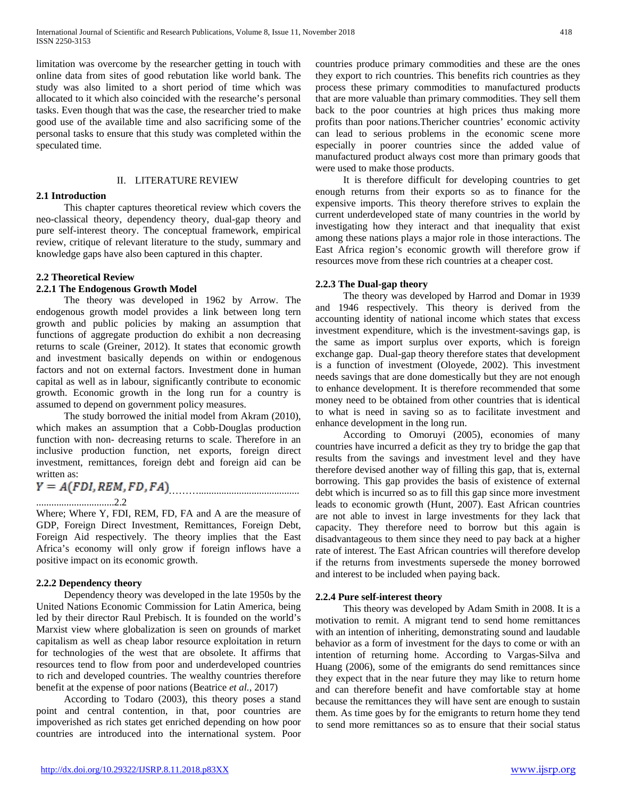limitation was overcome by the researcher getting in touch with online data from sites of good rebutation like world bank. The study was also limited to a short period of time which was allocated to it which also coincided with the researche's personal tasks. Even though that was the case, the researcher tried to make good use of the available time and also sacrificing some of the personal tasks to ensure that this study was completed within the speculated time.

### II. LITERATURE REVIEW

# **2.1 Introduction**

 This chapter captures theoretical review which covers the neo-classical theory, dependency theory, dual-gap theory and pure self-interest theory. The conceptual framework, empirical review, critique of relevant literature to the study, summary and knowledge gaps have also been captured in this chapter.

# **2.2 Theoretical Review**

# **2.2.1 The Endogenous Growth Model**

 The theory was developed in 1962 by Arrow. The endogenous growth model provides a link between long tern growth and public policies by making an assumption that functions of aggregate production do exhibit a non decreasing returns to scale (Greiner, 2012). It states that economic growth and investment basically depends on within or endogenous factors and not on external factors. Investment done in human capital as well as in labour, significantly contribute to economic growth. Economic growth in the long run for a country is assumed to depend on government policy measures.

 The study borrowed the initial model from Akram (2010), which makes an assumption that a Cobb-Douglas production function with non- decreasing returns to scale. Therefore in an inclusive production function, net exports, foreign direct investment, remittances, foreign debt and foreign aid can be written as:

 $Y = A(FDI, REM, FD, FA)$ 

### ...............................2.2

Where; Where Y, FDI, REM, FD, FA and A are the measure of GDP, Foreign Direct Investment, Remittances, Foreign Debt, Foreign Aid respectively. The theory implies that the East Africa's economy will only grow if foreign inflows have a positive impact on its economic growth.

# **2.2.2 Dependency theory**

 Dependency theory was developed in the late 1950s by the United Nations Economic Commission for Latin America, being led by their director Raul Prebisch. It is founded on the world's Marxist view where globalization is seen on grounds of market capitalism as well as cheap labor resource exploitation in return for technologies of the west that are obsolete. It affirms that resources tend to flow from poor and underdeveloped countries to rich and developed countries. The wealthy countries therefore benefit at the expense of poor nations (Beatrice *et al.*, 2017)

 According to Todaro (2003), this theory poses a stand point and central contention, in that, poor countries are impoverished as rich states get enriched depending on how poor countries are introduced into the international system. Poor

countries produce primary commodities and these are the ones they export to rich countries. This benefits rich countries as they process these primary commodities to manufactured products that are more valuable than primary commodities. They sell them back to the poor countries at high prices thus making more profits than poor nations.Thericher countries' economic activity can lead to serious problems in the economic scene more especially in poorer countries since the added value of manufactured product always cost more than primary goods that were used to make those products.

 It is therefore difficult for developing countries to get enough returns from their exports so as to finance for the expensive imports. This theory therefore strives to explain the current underdeveloped state of many countries in the world by investigating how they interact and that inequality that exist among these nations plays a major role in those interactions. The East Africa region's economic growth will therefore grow if resources move from these rich countries at a cheaper cost.

# **2.2.3 The Dual-gap theory**

 The theory was developed by Harrod and Domar in 1939 and 1946 respectively. This theory is derived from the accounting identity of national income which states that excess investment expenditure, which is the investment-savings gap, is the same as import surplus over exports, which is foreign exchange gap. Dual-gap theory therefore states that development is a function of investment (Oloyede, 2002). This investment needs savings that are done domestically but they are not enough to enhance development. It is therefore recommended that some money need to be obtained from other countries that is identical to what is need in saving so as to facilitate investment and enhance development in the long run.

 According to Omoruyi (2005), economies of many countries have incurred a deficit as they try to bridge the gap that results from the savings and investment level and they have therefore devised another way of filling this gap, that is, external borrowing. This gap provides the basis of existence of external debt which is incurred so as to fill this gap since more investment leads to economic growth (Hunt, 2007). East African countries are not able to invest in large investments for they lack that capacity. They therefore need to borrow but this again is disadvantageous to them since they need to pay back at a higher rate of interest. The East African countries will therefore develop if the returns from investments supersede the money borrowed and interest to be included when paying back.

### **2.2.4 Pure self-interest theory**

 This theory was developed by Adam Smith in 2008. It is a motivation to remit. A migrant tend to send home remittances with an intention of inheriting, demonstrating sound and laudable behavior as a form of investment for the days to come or with an intention of returning home. According to Vargas-Silva and Huang (2006), some of the emigrants do send remittances since they expect that in the near future they may like to return home and can therefore benefit and have comfortable stay at home because the remittances they will have sent are enough to sustain them. As time goes by for the emigrants to return home they tend to send more remittances so as to ensure that their social status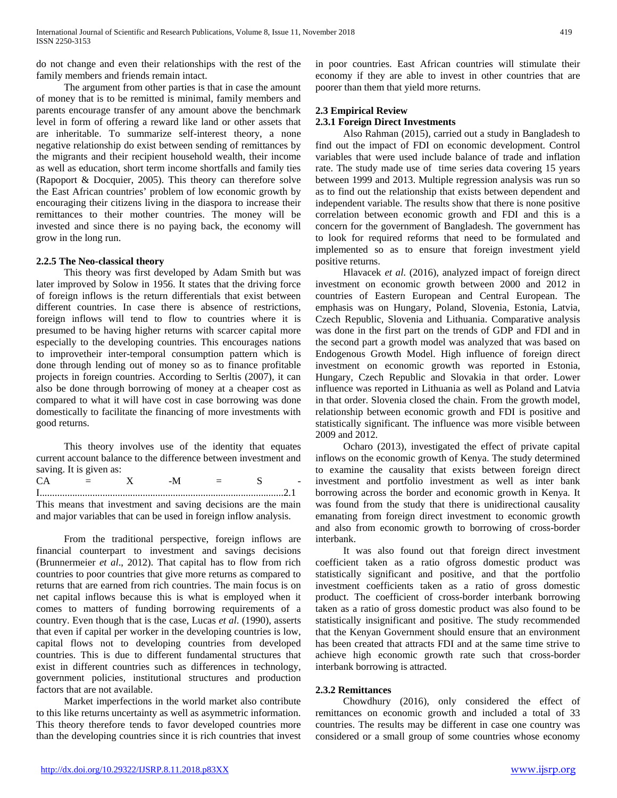do not change and even their relationships with the rest of the family members and friends remain intact.

 The argument from other parties is that in case the amount of money that is to be remitted is minimal, family members and parents encourage transfer of any amount above the benchmark level in form of offering a reward like land or other assets that are inheritable. To summarize self-interest theory, a none negative relationship do exist between sending of remittances by the migrants and their recipient household wealth, their income as well as education, short term income shortfalls and family ties (Rapoport & Docquier, 2005). This theory can therefore solve the East African countries' problem of low economic growth by encouraging their citizens living in the diaspora to increase their remittances to their mother countries. The money will be invested and since there is no paying back, the economy will grow in the long run.

### **2.2.5 The Neo-classical theory**

 This theory was first developed by Adam Smith but was later improved by Solow in 1956. It states that the driving force of foreign inflows is the return differentials that exist between different countries. In case there is absence of restrictions, foreign inflows will tend to flow to countries where it is presumed to be having higher returns with scarcer capital more especially to the developing countries. This encourages nations to improvetheir inter-temporal consumption pattern which is done through lending out of money so as to finance profitable projects in foreign countries. According to Serltis (2007), it can also be done through borrowing of money at a cheaper cost as compared to what it will have cost in case borrowing was done domestically to facilitate the financing of more investments with good returns.

 This theory involves use of the identity that equates current account balance to the difference between investment and saving. It is given as:

This means that investment and saving decisions are the main and major variables that can be used in foreign inflow analysis.

 From the traditional perspective, foreign inflows are financial counterpart to investment and savings decisions (Brunnermeier *et al*., 2012). That capital has to flow from rich countries to poor countries that give more returns as compared to returns that are earned from rich countries. The main focus is on net capital inflows because this is what is employed when it comes to matters of funding borrowing requirements of a country. Even though that is the case, Lucas *et al*. (1990), asserts that even if capital per worker in the developing countries is low, capital flows not to developing countries from developed countries. This is due to different fundamental structures that exist in different countries such as differences in technology, government policies, institutional structures and production factors that are not available.

 Market imperfections in the world market also contribute to this like returns uncertainty as well as asymmetric information. This theory therefore tends to favor developed countries more than the developing countries since it is rich countries that invest

in poor countries. East African countries will stimulate their economy if they are able to invest in other countries that are poorer than them that yield more returns.

# **2.3 Empirical Review 2.3.1 Foreign Direct Investments**

 Also Rahman (2015), carried out a study in Bangladesh to find out the impact of FDI on economic development. Control variables that were used include balance of trade and inflation rate. The study made use of time series data covering 15 years between 1999 and 2013. Multiple regression analysis was run so as to find out the relationship that exists between dependent and independent variable. The results show that there is none positive correlation between economic growth and FDI and this is a concern for the government of Bangladesh. The government has to look for required reforms that need to be formulated and implemented so as to ensure that foreign investment yield positive returns.

 Hlavacek *et al*. (2016), analyzed impact of foreign direct investment on economic growth between 2000 and 2012 in countries of Eastern European and Central European. The emphasis was on Hungary, Poland, Slovenia, Estonia, Latvia, Czech Republic, Slovenia and Lithuania. Comparative analysis was done in the first part on the trends of GDP and FDI and in the second part a growth model was analyzed that was based on Endogenous Growth Model. High influence of foreign direct investment on economic growth was reported in Estonia, Hungary, Czech Republic and Slovakia in that order. Lower influence was reported in Lithuania as well as Poland and Latvia in that order. Slovenia closed the chain. From the growth model, relationship between economic growth and FDI is positive and statistically significant. The influence was more visible between 2009 and 2012.

 Ocharo (2013), investigated the effect of private capital inflows on the economic growth of Kenya. The study determined to examine the causality that exists between foreign direct investment and portfolio investment as well as inter bank borrowing across the border and economic growth in Kenya. It was found from the study that there is unidirectional causality emanating from foreign direct investment to economic growth and also from economic growth to borrowing of cross-border interbank.

 It was also found out that foreign direct investment coefficient taken as a ratio ofgross domestic product was statistically significant and positive, and that the portfolio investment coefficients taken as a ratio of gross domestic product. The coefficient of cross-border interbank borrowing taken as a ratio of gross domestic product was also found to be statistically insignificant and positive. The study recommended that the Kenyan Government should ensure that an environment has been created that attracts FDI and at the same time strive to achieve high economic growth rate such that cross-border interbank borrowing is attracted.

#### **2.3.2 Remittances**

 Chowdhury (2016), only considered the effect of remittances on economic growth and included a total of 33 countries. The results may be different in case one country was considered or a small group of some countries whose economy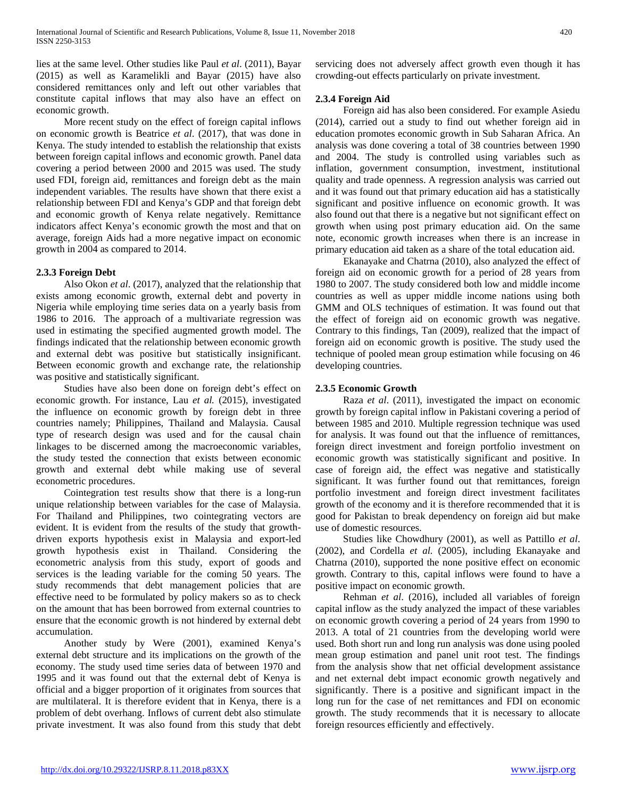lies at the same level. Other studies like Paul *et al*. (2011), Bayar (2015) as well as Karamelikli and Bayar (2015) have also considered remittances only and left out other variables that constitute capital inflows that may also have an effect on economic growth.

 More recent study on the effect of foreign capital inflows on economic growth is Beatrice *et al*. (2017), that was done in Kenya. The study intended to establish the relationship that exists between foreign capital inflows and economic growth. Panel data covering a period between 2000 and 2015 was used. The study used FDI, foreign aid, remittances and foreign debt as the main independent variables. The results have shown that there exist a relationship between FDI and Kenya's GDP and that foreign debt and economic growth of Kenya relate negatively. Remittance indicators affect Kenya's economic growth the most and that on average, foreign Aids had a more negative impact on economic growth in 2004 as compared to 2014.

# **2.3.3 Foreign Debt**

 Also Okon *et al*. (2017), analyzed that the relationship that exists among economic growth, external debt and poverty in Nigeria while employing time series data on a yearly basis from 1986 to 2016. The approach of a multivariate regression was used in estimating the specified augmented growth model. The findings indicated that the relationship between economic growth and external debt was positive but statistically insignificant. Between economic growth and exchange rate, the relationship was positive and statistically significant.

 Studies have also been done on foreign debt's effect on economic growth. For instance, Lau *et al.* (2015), investigated the influence on economic growth by foreign debt in three countries namely; Philippines, Thailand and Malaysia. Causal type of research design was used and for the causal chain linkages to be discerned among the macroeconomic variables, the study tested the connection that exists between economic growth and external debt while making use of several econometric procedures.

 Cointegration test results show that there is a long-run unique relationship between variables for the case of Malaysia. For Thailand and Philippines, two cointegrating vectors are evident. It is evident from the results of the study that growthdriven exports hypothesis exist in Malaysia and export-led growth hypothesis exist in Thailand. Considering the econometric analysis from this study, export of goods and services is the leading variable for the coming 50 years. The study recommends that debt management policies that are effective need to be formulated by policy makers so as to check on the amount that has been borrowed from external countries to ensure that the economic growth is not hindered by external debt accumulation.

 Another study by Were (2001), examined Kenya's external debt structure and its implications on the growth of the economy. The study used time series data of between 1970 and 1995 and it was found out that the external debt of Kenya is official and a bigger proportion of it originates from sources that are multilateral. It is therefore evident that in Kenya, there is a problem of debt overhang. Inflows of current debt also stimulate private investment. It was also found from this study that debt servicing does not adversely affect growth even though it has crowding-out effects particularly on private investment.

# **2.3.4 Foreign Aid**

 Foreign aid has also been considered. For example Asiedu (2014), carried out a study to find out whether foreign aid in education promotes economic growth in Sub Saharan Africa. An analysis was done covering a total of 38 countries between 1990 and 2004. The study is controlled using variables such as inflation, government consumption, investment, institutional quality and trade openness. A regression analysis was carried out and it was found out that primary education aid has a statistically significant and positive influence on economic growth. It was also found out that there is a negative but not significant effect on growth when using post primary education aid. On the same note, economic growth increases when there is an increase in primary education aid taken as a share of the total education aid.

 Ekanayake and Chatrna (2010), also analyzed the effect of foreign aid on economic growth for a period of 28 years from 1980 to 2007. The study considered both low and middle income countries as well as upper middle income nations using both GMM and OLS techniques of estimation. It was found out that the effect of foreign aid on economic growth was negative. Contrary to this findings, Tan (2009), realized that the impact of foreign aid on economic growth is positive. The study used the technique of pooled mean group estimation while focusing on 46 developing countries.

# **2.3.5 Economic Growth**

 Raza *et al*. (2011), investigated the impact on economic growth by foreign capital inflow in Pakistani covering a period of between 1985 and 2010. Multiple regression technique was used for analysis. It was found out that the influence of remittances, foreign direct investment and foreign portfolio investment on economic growth was statistically significant and positive. In case of foreign aid, the effect was negative and statistically significant. It was further found out that remittances, foreign portfolio investment and foreign direct investment facilitates growth of the economy and it is therefore recommended that it is good for Pakistan to break dependency on foreign aid but make use of domestic resources.

 Studies like Chowdhury (2001), as well as Pattillo *et al*. (2002), and Cordella *et al.* (2005), including Ekanayake and Chatrna (2010), supported the none positive effect on economic growth. Contrary to this, capital inflows were found to have a positive impact on economic growth.

 Rehman *et al*. (2016), included all variables of foreign capital inflow as the study analyzed the impact of these variables on economic growth covering a period of 24 years from 1990 to 2013. A total of 21 countries from the developing world were used. Both short run and long run analysis was done using pooled mean group estimation and panel unit root test. The findings from the analysis show that net official development assistance and net external debt impact economic growth negatively and significantly. There is a positive and significant impact in the long run for the case of net remittances and FDI on economic growth. The study recommends that it is necessary to allocate foreign resources efficiently and effectively.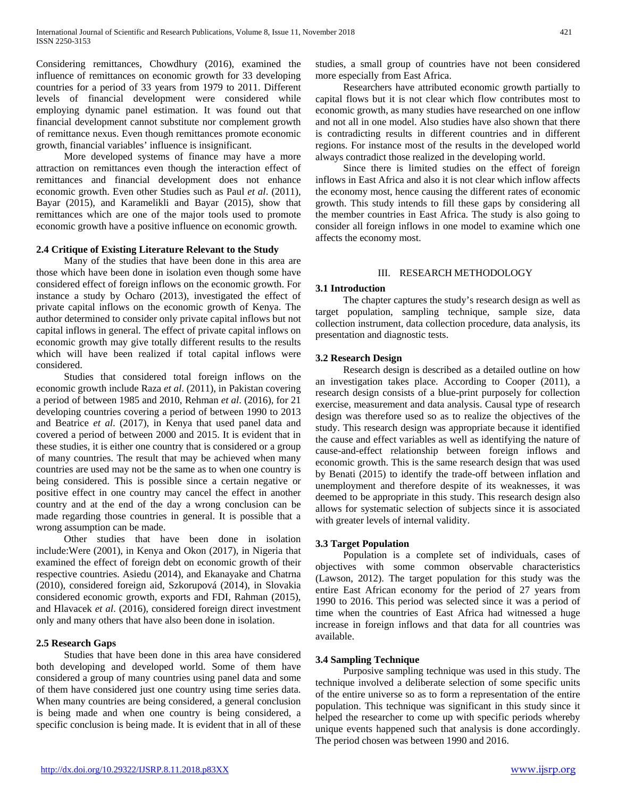Considering remittances, Chowdhury (2016), examined the influence of remittances on economic growth for 33 developing countries for a period of 33 years from 1979 to 2011. Different levels of financial development were considered while employing dynamic panel estimation. It was found out that financial development cannot substitute nor complement growth of remittance nexus. Even though remittances promote economic growth, financial variables' influence is insignificant.

 More developed systems of finance may have a more attraction on remittances even though the interaction effect of remittances and financial development does not enhance economic growth. Even other Studies such as Paul *et al*. (2011), Bayar (2015), and Karamelikli and Bayar (2015), show that remittances which are one of the major tools used to promote economic growth have a positive influence on economic growth.

### **2.4 Critique of Existing Literature Relevant to the Study**

 Many of the studies that have been done in this area are those which have been done in isolation even though some have considered effect of foreign inflows on the economic growth. For instance a study by Ocharo (2013), investigated the effect of private capital inflows on the economic growth of Kenya. The author determined to consider only private capital inflows but not capital inflows in general. The effect of private capital inflows on economic growth may give totally different results to the results which will have been realized if total capital inflows were considered.

 Studies that considered total foreign inflows on the economic growth include Raza *et al*. (2011), in Pakistan covering a period of between 1985 and 2010, Rehman *et al*. (2016), for 21 developing countries covering a period of between 1990 to 2013 and Beatrice *et al*. (2017), in Kenya that used panel data and covered a period of between 2000 and 2015. It is evident that in these studies, it is either one country that is considered or a group of many countries. The result that may be achieved when many countries are used may not be the same as to when one country is being considered. This is possible since a certain negative or positive effect in one country may cancel the effect in another country and at the end of the day a wrong conclusion can be made regarding those countries in general. It is possible that a wrong assumption can be made.

 Other studies that have been done in isolation include:Were (2001), in Kenya and Okon (2017), in Nigeria that examined the effect of foreign debt on economic growth of their respective countries. Asiedu (2014), and Ekanayake and Chatrna (2010), considered foreign aid, Szkorupová (2014), in Slovakia considered economic growth, exports and FDI, Rahman (2015), and Hlavacek *et al*. (2016), considered foreign direct investment only and many others that have also been done in isolation.

# **2.5 Research Gaps**

 Studies that have been done in this area have considered both developing and developed world. Some of them have considered a group of many countries using panel data and some of them have considered just one country using time series data. When many countries are being considered, a general conclusion is being made and when one country is being considered, a specific conclusion is being made. It is evident that in all of these

 Researchers have attributed economic growth partially to capital flows but it is not clear which flow contributes most to economic growth, as many studies have researched on one inflow and not all in one model. Also studies have also shown that there is contradicting results in different countries and in different regions. For instance most of the results in the developed world always contradict those realized in the developing world.

 Since there is limited studies on the effect of foreign inflows in East Africa and also it is not clear which inflow affects the economy most, hence causing the different rates of economic growth. This study intends to fill these gaps by considering all the member countries in East Africa. The study is also going to consider all foreign inflows in one model to examine which one affects the economy most.

# III. RESEARCH METHODOLOGY

# **3.1 Introduction**

 The chapter captures the study's research design as well as target population, sampling technique, sample size, data collection instrument, data collection procedure, data analysis, its presentation and diagnostic tests.

# **3.2 Research Design**

 Research design is described as a detailed outline on how an investigation takes place. According to Cooper (2011), a research design consists of a blue-print purposely for collection exercise, measurement and data analysis. Causal type of research design was therefore used so as to realize the objectives of the study. This research design was appropriate because it identified the cause and effect variables as well as identifying the nature of cause-and-effect relationship between foreign inflows and economic growth. This is the same research design that was used by Benati (2015) to identify the trade-off between inflation and unemployment and therefore despite of its weaknesses, it was deemed to be appropriate in this study. This research design also allows for systematic selection of subjects since it is associated with greater levels of internal validity.

### **3.3 Target Population**

 Population is a complete set of individuals, cases of objectives with some common observable characteristics (Lawson, 2012). The target population for this study was the entire East African economy for the period of 27 years from 1990 to 2016. This period was selected since it was a period of time when the countries of East Africa had witnessed a huge increase in foreign inflows and that data for all countries was available.

# **3.4 Sampling Technique**

 Purposive sampling technique was used in this study. The technique involved a deliberate selection of some specific units of the entire universe so as to form a representation of the entire population. This technique was significant in this study since it helped the researcher to come up with specific periods whereby unique events happened such that analysis is done accordingly. The period chosen was between 1990 and 2016.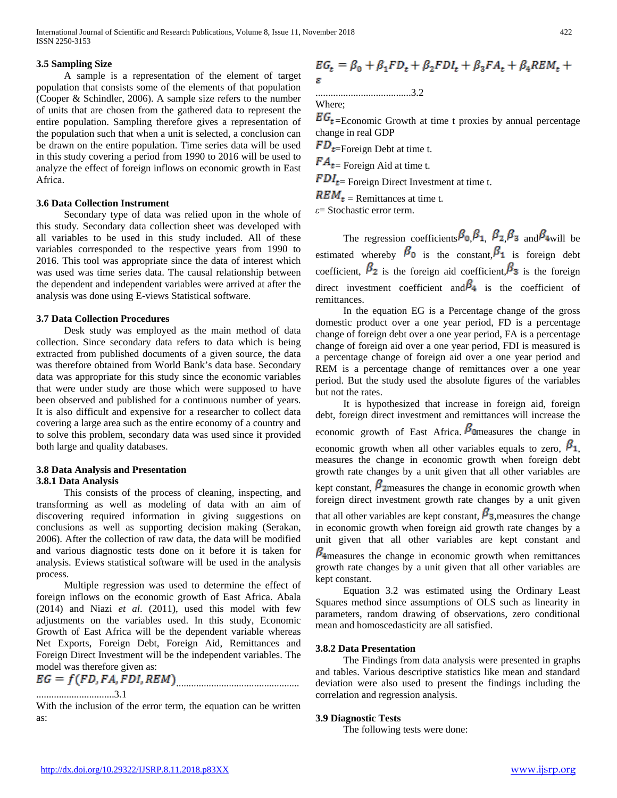# **3.5 Sampling Size**

 A sample is a representation of the element of target population that consists some of the elements of that population (Cooper & Schindler, 2006). A sample size refers to the number of units that are chosen from the gathered data to represent the entire population. Sampling therefore gives a representation of the population such that when a unit is selected, a conclusion can be drawn on the entire population. Time series data will be used in this study covering a period from 1990 to 2016 will be used to analyze the effect of foreign inflows on economic growth in East Africa.

#### **3.6 Data Collection Instrument**

 Secondary type of data was relied upon in the whole of this study. Secondary data collection sheet was developed with all variables to be used in this study included. All of these variables corresponded to the respective years from 1990 to 2016. This tool was appropriate since the data of interest which was used was time series data. The causal relationship between the dependent and independent variables were arrived at after the analysis was done using E-views Statistical software.

#### **3.7 Data Collection Procedures**

 Desk study was employed as the main method of data collection. Since secondary data refers to data which is being extracted from published documents of a given source, the data was therefore obtained from World Bank's data base. Secondary data was appropriate for this study since the economic variables that were under study are those which were supposed to have been observed and published for a continuous number of years. It is also difficult and expensive for a researcher to collect data covering a large area such as the entire economy of a country and to solve this problem, secondary data was used since it provided both large and quality databases.

### **3.8 Data Analysis and Presentation 3.8.1 Data Analysis**

 This consists of the process of cleaning, inspecting, and transforming as well as modeling of data with an aim of discovering required information in giving suggestions on conclusions as well as supporting decision making (Serakan, 2006). After the collection of raw data, the data will be modified and various diagnostic tests done on it before it is taken for analysis. Eviews statistical software will be used in the analysis process.

 Multiple regression was used to determine the effect of foreign inflows on the economic growth of East Africa. Abala (2014) and Niazi *et al*. (2011), used this model with few adjustments on the variables used. In this study, Economic Growth of East Africa will be the dependent variable whereas Net Exports, Foreign Debt, Foreign Aid, Remittances and Foreign Direct Investment will be the independent variables. The model was therefore given as:

$$
EG = f(FD, FA, FDI, REM)
$$

...............................3.1

With the inclusion of the error term, the equation can be written as:

$$
\begin{split} \label{eq:EGt} E G_t &= \beta_0 + \beta_1 F D_t + \beta_2 F D I_t + \beta_3 F A_t + \beta_4 R E M_t + \\ \varepsilon \end{split}
$$

......................................3.2

Where;

 $EG_{t}$ =Economic Growth at time t proxies by annual percentage change in real GDP

 $FD_{t=Foreign}$  Debt at time t.

 $FA_{t=}$  Foreign Aid at time t.

 $FDI_{t=}$  Foreign Direct Investment at time t.

 $\mathbf{REM}_{t}$  = Remittances at time t.

*ε*= Stochastic error term.

The regression coefficients  $\beta_0$ ,  $\beta_1$ ,  $\beta_2$ ,  $\beta_3$  and  $\beta_4$  will be estimated whereby  $\beta_0$  is the constant,  $\beta_1$  is foreign debt coefficient,  $\beta_2$  is the foreign aid coefficient,  $\beta_3$  is the foreign direct investment coefficient and  $\beta_4$  is the coefficient of remittances.

 In the equation EG is a Percentage change of the gross domestic product over a one year period, FD is a percentage change of foreign debt over a one year period, FA is a percentage change of foreign aid over a one year period, FDI is measured is a percentage change of foreign aid over a one year period and REM is a percentage change of remittances over a one year period. But the study used the absolute figures of the variables but not the rates.

 It is hypothesized that increase in foreign aid, foreign debt, foreign direct investment and remittances will increase the economic growth of East Africa.  $\beta_{\text{Oneasures}}$  the change in economic growth when all other variables equals to zero,  $\beta_1$ , measures the change in economic growth when foreign debt growth rate changes by a unit given that all other variables are kept constant,  $\beta$ <sup>2</sup> measures the change in economic growth when

foreign direct investment growth rate changes by a unit given that all other variables are kept constant,  $\beta_3$ , measures the change

in economic growth when foreign aid growth rate changes by a unit given that all other variables are kept constant and

 $\beta$ <sub>4</sub> measures the change in economic growth when remittances growth rate changes by a unit given that all other variables are kept constant.

 Equation 3.2 was estimated using the Ordinary Least Squares method since assumptions of OLS such as linearity in parameters, random drawing of observations, zero conditional mean and homoscedasticity are all satisfied.

### **3.8.2 Data Presentation**

 The Findings from data analysis were presented in graphs and tables. Various descriptive statistics like mean and standard deviation were also used to present the findings including the correlation and regression analysis.

### **3.9 Diagnostic Tests**

The following tests were done: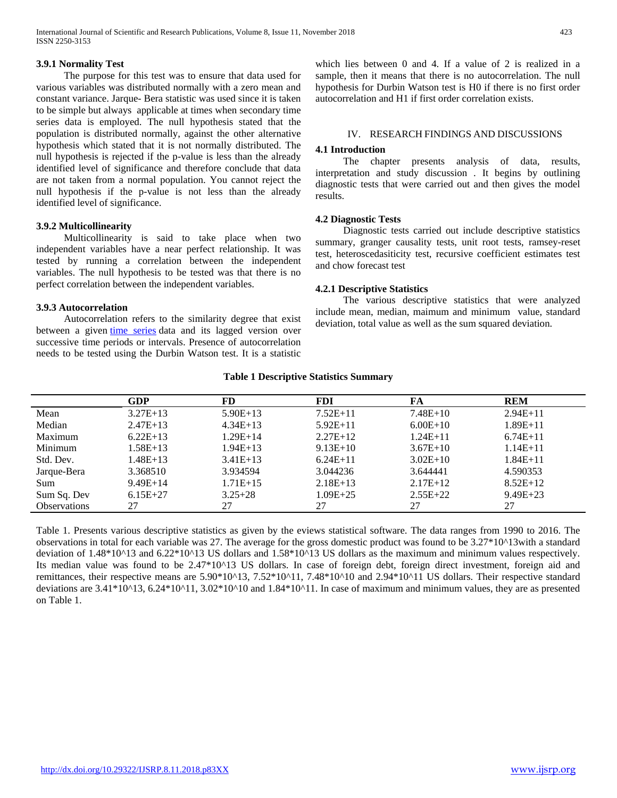# **3.9.1 Normality Test**

 The purpose for this test was to ensure that data used for various variables was distributed normally with a zero mean and constant variance. Jarque- Bera statistic was used since it is taken to be simple but always applicable at times when secondary time series data is employed. The null hypothesis stated that the population is distributed normally, against the other alternative hypothesis which stated that it is not normally distributed. The null hypothesis is rejected if the p-value is less than the already identified level of significance and therefore conclude that data are not taken from a normal population. You cannot reject the null hypothesis if the p-value is not less than the already identified level of significance.

## **3.9.2 Multicollinearity**

 Multicollinearity is said to take place when two independent variables have a near perfect relationship. It was tested by running a correlation between the independent variables. The null hypothesis to be tested was that there is no perfect correlation between the independent variables.

### **3.9.3 Autocorrelation**

 Autocorrelation refers to the similarity degree that exist between a given [time series](https://www.investopedia.com/terms/t/timeseries.asp) data and its lagged version over successive time periods or intervals. Presence of autocorrelation needs to be tested using the Durbin Watson test. It is a statistic which lies between 0 and 4. If a value of 2 is realized in a sample, then it means that there is no autocorrelation. The null hypothesis for Durbin Watson test is H0 if there is no first order autocorrelation and H1 if first order correlation exists.

# IV. RESEARCH FINDINGS AND DISCUSSIONS

## **4.1 Introduction**

 The chapter presents analysis of data, results, interpretation and study discussion . It begins by outlining diagnostic tests that were carried out and then gives the model results.

### **4.2 Diagnostic Tests**

 Diagnostic tests carried out include descriptive statistics summary, granger causality tests, unit root tests, ramsey-reset test, heteroscedasiticity test, recursive coefficient estimates test and chow forecast test

### **4.2.1 Descriptive Statistics**

 The various descriptive statistics that were analyzed include mean, median, maimum and minimum value, standard deviation, total value as well as the sum squared deviation.

#### **Table 1 Descriptive Statistics Summary**

|                     | GDP        | FD           | <b>FDI</b>   | FA         | <b>REM</b>   |
|---------------------|------------|--------------|--------------|------------|--------------|
| Mean                | $3.27E+13$ | $5.90E+13$   | $7.52E+11$   | $7.48E+10$ | $2.94E+11$   |
| Median              | $2.47E+13$ | $4.34E+13$   | $5.92E+11$   | $6.00E+10$ | $1.89E + 11$ |
| Maximum             | $6.22E+13$ | $1.29E + 14$ | $2.27E+12$   | $1.24E+11$ | $6.74E+11$   |
| Minimum             | $1.58E+13$ | $1.94E+13$   | $9.13E+10$   | $3.67E+10$ | $1.14E + 11$ |
| Std. Dev.           | $1.48E+13$ | $3.41E+13$   | $6.24E+11$   | $3.02E+10$ | $1.84E + 11$ |
| Jarque-Bera         | 3.368510   | 3.934594     | 3.044236     | 3.644441   | 4.590353     |
| <b>Sum</b>          | $9.49E+14$ | $1.71E+15$   | $2.18E+13$   | $2.17E+12$ | $8.52E+12$   |
| Sum Sq. Dev         | $6.15E+27$ | $3.25 + 28$  | $1.09E + 25$ | $2.55E+22$ | $9.49E + 23$ |
| <b>Observations</b> | 27         | 27           | 27           | 27         | 27           |

Table 1. Presents various descriptive statistics as given by the eviews statistical software. The data ranges from 1990 to 2016. The observations in total for each variable was 27. The average for the gross domestic product was found to be 3.27\*10^13with a standard deviation of 1.48\*10^13 and 6.22\*10^13 US dollars and 1.58\*10^13 US dollars as the maximum and minimum values respectively. Its median value was found to be 2.47\*10^13 US dollars. In case of foreign debt, foreign direct investment, foreign aid and remittances, their respective means are 5.90\*10^13, 7.52\*10^11, 7.48\*10^10 and 2.94\*10^11 US dollars. Their respective standard deviations are  $3.41*10^413$ ,  $6.24*10^411$ ,  $3.02*10^410$  and  $1.84*10^411$ . In case of maximum and minimum values, they are as presented on Table 1.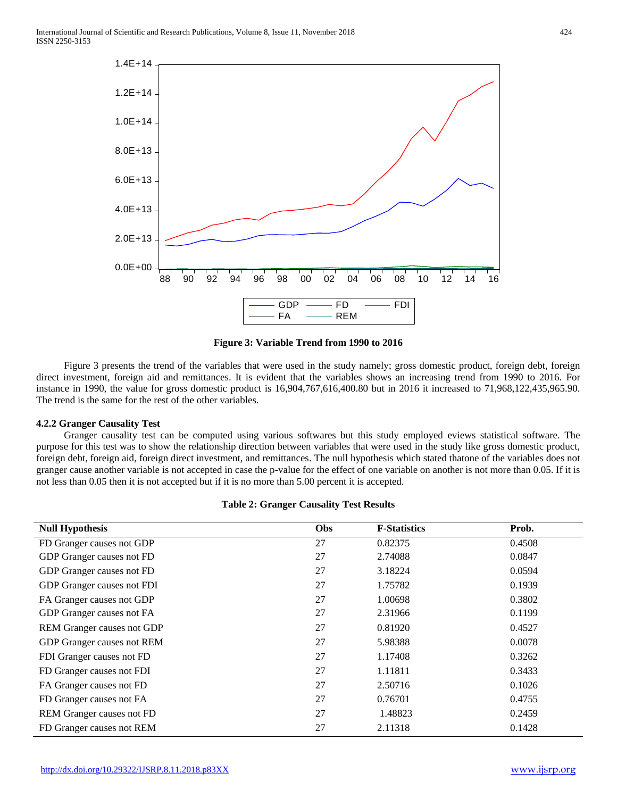

**Figure 3: Variable Trend from 1990 to 2016**

 Figure 3 presents the trend of the variables that were used in the study namely; gross domestic product, foreign debt, foreign direct investment, foreign aid and remittances. It is evident that the variables shows an increasing trend from 1990 to 2016. For instance in 1990, the value for gross domestic product is 16,904,767,616,400.80 but in 2016 it increased to 71,968,122,435,965.90. The trend is the same for the rest of the other variables.

### **4.2.2 Granger Causality Test**

 Granger causality test can be computed using various softwares but this study employed eviews statistical software. The purpose for this test was to show the relationship direction between variables that were used in the study like gross domestic product, foreign debt, foreign aid, foreign direct investment, and remittances. The null hypothesis which stated thatone of the variables does not granger cause another variable is not accepted in case the p-value for the effect of one variable on another is not more than 0.05. If it is not less than 0.05 then it is not accepted but if it is no more than 5.00 percent it is accepted.

|  |  | <b>Table 2: Granger Causality Test Results</b> |  |  |
|--|--|------------------------------------------------|--|--|
|--|--|------------------------------------------------|--|--|

| <b>Null Hypothesis</b>            | Obs | <b>F-Statistics</b> | Prob.  |
|-----------------------------------|-----|---------------------|--------|
| FD Granger causes not GDP         | 27  | 0.82375             | 0.4508 |
| GDP Granger causes not FD         | 27  | 2.74088             | 0.0847 |
| GDP Granger causes not FD         | 27  | 3.18224             | 0.0594 |
| GDP Granger causes not FDI        | 27  | 1.75782             | 0.1939 |
| FA Granger causes not GDP         | 27  | 1.00698             | 0.3802 |
| GDP Granger causes not FA         | 27  | 2.31966             | 0.1199 |
| <b>REM</b> Granger causes not GDP | 27  | 0.81920             | 0.4527 |
| GDP Granger causes not REM        | 27  | 5.98388             | 0.0078 |
| FDI Granger causes not FD         | 27  | 1.17408             | 0.3262 |
| FD Granger causes not FDI         | 27  | 1.11811             | 0.3433 |
| FA Granger causes not FD          | 27  | 2.50716             | 0.1026 |
| FD Granger causes not FA          | 27  | 0.76701             | 0.4755 |
| <b>REM</b> Granger causes not FD  | 27  | 1.48823             | 0.2459 |
| FD Granger causes not REM         | 27  | 2.11318             | 0.1428 |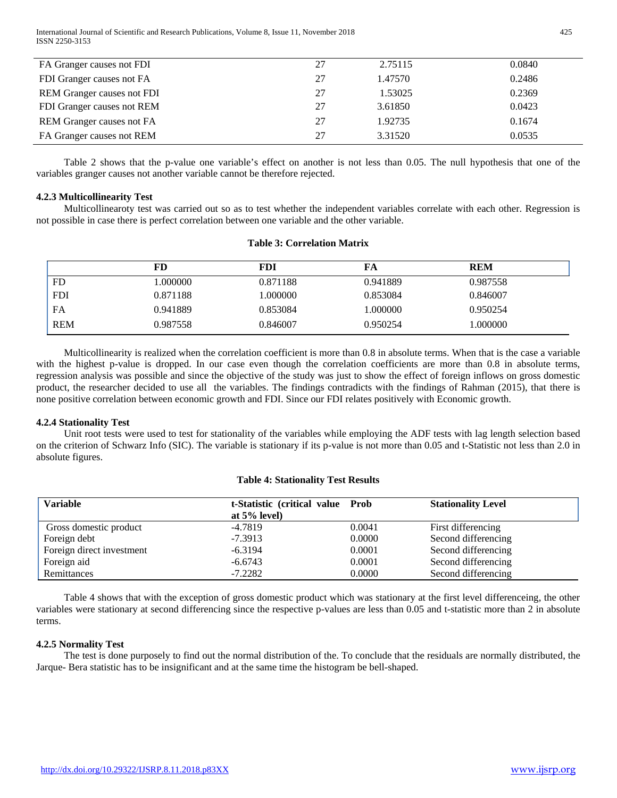International Journal of Scientific and Research Publications, Volume 8, Issue 11, November 2018 425 ISSN 2250-3153

| FA Granger causes not FDI         | 27 | 2.75115 | 0.0840 |
|-----------------------------------|----|---------|--------|
| FDI Granger causes not FA         | 27 | 1.47570 | 0.2486 |
| <b>REM</b> Granger causes not FDI | 27 | 1.53025 | 0.2369 |
| FDI Granger causes not REM        | 27 | 3.61850 | 0.0423 |
| REM Granger causes not FA         | 27 | 1.92735 | 0.1674 |
| FA Granger causes not REM         | 27 | 3.31520 | 0.0535 |

 Table 2 shows that the p-value one variable's effect on another is not less than 0.05. The null hypothesis that one of the variables granger causes not another variable cannot be therefore rejected.

## **4.2.3 Multicollinearity Test**

 Multicollinearoty test was carried out so as to test whether the independent variables correlate with each other. Regression is not possible in case there is perfect correlation between one variable and the other variable.

|            | FD       | FDI      | FA       | <b>REM</b> |
|------------|----------|----------|----------|------------|
| <b>FD</b>  | .000000  | 0.871188 | 0.941889 | 0.987558   |
| <b>FDI</b> | 0.871188 | 000000.1 | 0.853084 | 0.846007   |
| FA         | 0.941889 | 0.853084 | 1.000000 | 0.950254   |
| <b>REM</b> | 0.987558 | 0.846007 | 0.950254 | 000000.1   |

## **Table 3: Correlation Matrix**

 Multicollinearity is realized when the correlation coefficient is more than 0.8 in absolute terms. When that is the case a variable with the highest p-value is dropped. In our case even though the correlation coefficients are more than 0.8 in absolute terms, regression analysis was possible and since the objective of the study was just to show the effect of foreign inflows on gross domestic product, the researcher decided to use all the variables. The findings contradicts with the findings of Rahman (2015), that there is none positive correlation between economic growth and FDI. Since our FDI relates positively with Economic growth.

### **4.2.4 Stationality Test**

 Unit root tests were used to test for stationality of the variables while employing the ADF tests with lag length selection based on the criterion of Schwarz Info (SIC). The variable is stationary if its p-value is not more than 0.05 and t-Statistic not less than 2.0 in absolute figures.

### **Table 4: Stationality Test Results**

| <b>Variable</b>           | t-Statistic (critical value Prob<br>at $5\%$ level) |        | <b>Stationality Level</b> |
|---------------------------|-----------------------------------------------------|--------|---------------------------|
| Gross domestic product    | $-4.7819$                                           | 0.0041 | First differencing        |
| Foreign debt              | $-7.3913$                                           | 0.0000 | Second differencing       |
| Foreign direct investment | $-6.3194$                                           | 0.0001 | Second differencing       |
| Foreign aid               | $-6.6743$                                           | 0.0001 | Second differencing       |
| Remittances               | $-7.2282$                                           | 0.0000 | Second differencing       |

 Table 4 shows that with the exception of gross domestic product which was stationary at the first level differenceing, the other variables were stationary at second differencing since the respective p-values are less than 0.05 and t-statistic more than 2 in absolute terms.

# **4.2.5 Normality Test**

 The test is done purposely to find out the normal distribution of the. To conclude that the residuals are normally distributed, the Jarque- Bera statistic has to be insignificant and at the same time the histogram be bell-shaped.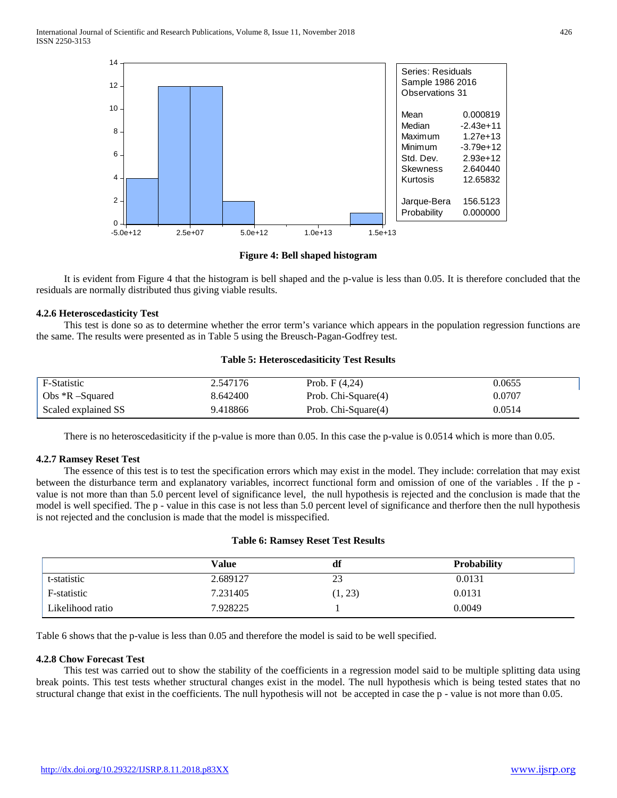

**Figure 4: Bell shaped histogram**

 It is evident from Figure 4 that the histogram is bell shaped and the p-value is less than 0.05. It is therefore concluded that the residuals are normally distributed thus giving viable results.

### **4.2.6 Heteroscedasticity Test**

 This test is done so as to determine whether the error term's variance which appears in the population regression functions are the same. The results were presented as in Table 5 using the Breusch-Pagan-Godfrey test.

#### **Table 5: Heteroscedasiticity Test Results**

| F-Statistic         | 2.547176 | Prob. $F(4,24)$     | 0.0655 |
|---------------------|----------|---------------------|--------|
| Obs $R$ -Squared    | 8.642400 | Prob. Chi-Square(4) | 0.0707 |
| Scaled explained SS | 9.418866 | Prob. Chi-Square(4) | 0.0514 |

There is no heteroscedasiticity if the p-value is more than 0.05. In this case the p-value is 0.0514 which is more than 0.05.

### **4.2.7 Ramsey Reset Test**

 The essence of this test is to test the specification errors which may exist in the model. They include: correlation that may exist between the disturbance term and explanatory variables, incorrect functional form and omission of one of the variables . If the p value is not more than than 5.0 percent level of significance level, the null hypothesis is rejected and the conclusion is made that the model is well specified. The p - value in this case is not less than 5.0 percent level of significance and therfore then the null hypothesis is not rejected and the conclusion is made that the model is misspecified.

#### **Table 6: Ramsey Reset Test Results**

|                  | Value    | df      | <b>Probability</b> |
|------------------|----------|---------|--------------------|
| t-statistic      | 2.689127 | 23      | 0.0131             |
| F-statistic      | 7.231405 | (1, 23) | 0.0131             |
| Likelihood ratio | 7.928225 |         | 0.0049             |

Table 6 shows that the p-value is less than 0.05 and therefore the model is said to be well specified.

#### **4.2.8 Chow Forecast Test**

 This test was carried out to show the stability of the coefficients in a regression model said to be multiple splitting data using break points. This test tests whether structural changes exist in the model. The null hypothesis which is being tested states that no structural change that exist in the coefficients. The null hypothesis will not be accepted in case the p - value is not more than 0.05.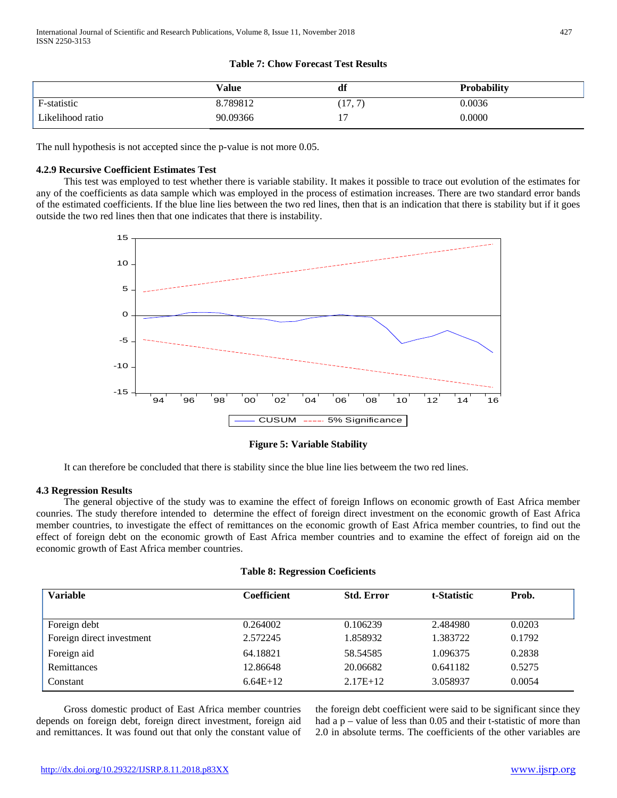# **Table 7: Chow Forecast Test Results**

|                  | Value    | df                | <b>Probability</b> |
|------------------|----------|-------------------|--------------------|
| F-statistic      | 8.789812 | (17, 7)           | 0.0036             |
| Likelihood ratio | 90.09366 | . <b>.</b><br>. . | 0.0000             |

The null hypothesis is not accepted since the p-value is not more 0.05.

# **4.2.9 Recursive Coefficient Estimates Test**

 This test was employed to test whether there is variable stability. It makes it possible to trace out evolution of the estimates for any of the coefficients as data sample which was employed in the process of estimation increases. There are two standard error bands of the estimated coefficients. If the blue line lies between the two red lines, then that is an indication that there is stability but if it goes outside the two red lines then that one indicates that there is instability.



**Figure 5: Variable Stability**

It can therefore be concluded that there is stability since the blue line lies betweem the two red lines.

### **4.3 Regression Results**

 The general objective of the study was to examine the effect of foreign Inflows on economic growth of East Africa member counries. The study therefore intended to determine the effect of foreign direct investment on the economic growth of East Africa member countries, to investigate the effect of remittances on the economic growth of East Africa member countries, to find out the effect of foreign debt on the economic growth of East Africa member countries and to examine the effect of foreign aid on the economic growth of East Africa member countries.

|  | <b>Table 8: Regression Coeficients</b> |  |
|--|----------------------------------------|--|
|--|----------------------------------------|--|

| <b>Variable</b>           | <b>Coefficient</b> | <b>Std. Error</b> | t-Statistic | Prob.  |
|---------------------------|--------------------|-------------------|-------------|--------|
| Foreign debt              | 0.264002           | 0.106239          | 2.484980    | 0.0203 |
| Foreign direct investment | 2.572245           | 1.858932          | 1.383722    | 0.1792 |
| Foreign aid               | 64.18821           | 58.54585          | 1.096375    | 0.2838 |
| Remittances               | 12.86648           | 20.06682          | 0.641182    | 0.5275 |
| Constant                  | $6.64E+12$         | $2.17E+12$        | 3.058937    | 0.0054 |

 Gross domestic product of East Africa member countries depends on foreign debt, foreign direct investment, foreign aid and remittances. It was found out that only the constant value of the foreign debt coefficient were said to be significant since they had a  $p$  – value of less than 0.05 and their t-statistic of more than 2.0 in absolute terms. The coefficients of the other variables are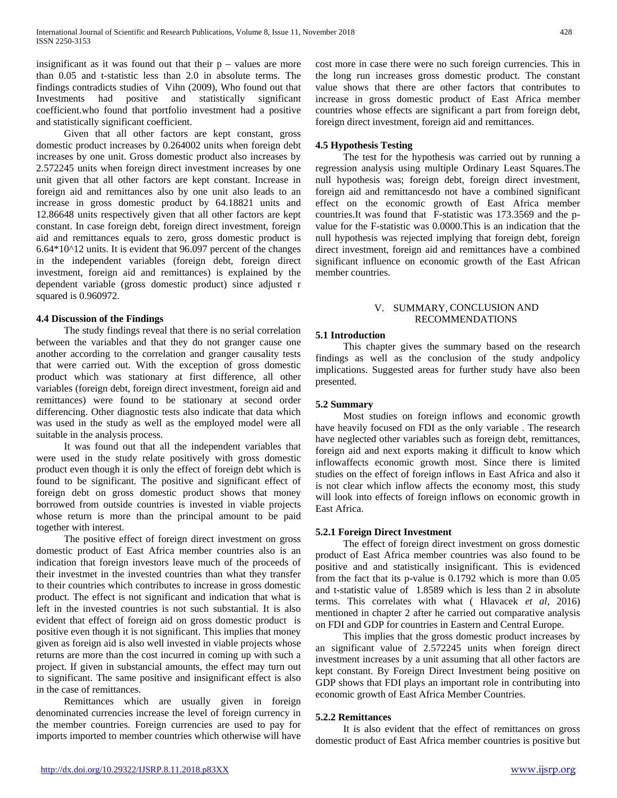insignificant as it was found out that their  $p -$  values are more than 0.05 and t-statistic less than 2.0 in absolute terms. The findings contradicts studies of Vihn (2009), Who found out that Investments had positive and statistically significant coefficient.who found that portfolio investment had a positive and statistically significant coefficient.

 Given that all other factors are kept constant, gross domestic product increases by 0.264002 units when foreign debt increases by one unit. Gross domestic product also increases by 2.572245 units when foreign direct investment increases by one unit given that all other factors are kept constant. Increase in foreign aid and remittances also by one unit also leads to an increase in gross domestic product by 64.18821 units and 12.86648 units respectively given that all other factors are kept constant. In case foreign debt, foreign direct investment, foreign aid and remittances equals to zero, gross domestic product is 6.64\*10^12 units. It is evident that 96.097 percent of the changes in the independent variables (foreign debt, foreign direct investment, foreign aid and remittances) is explained by the dependent variable (gross domestic product) since adjusted r squared is 0.960972.

### **4.4 Discussion of the Findings**

 The study findings reveal that there is no serial correlation between the variables and that they do not granger cause one another according to the correlation and granger causality tests that were carried out. With the exception of gross domestic product which was stationary at first difference, all other variables (foreign debt, foreign direct investment, foreign aid and remittances) were found to be stationary at second order differencing. Other diagnostic tests also indicate that data which was used in the study as well as the employed model were all suitable in the analysis process.

 It was found out that all the independent variables that were used in the study relate positively with gross domestic product even though it is only the effect of foreign debt which is found to be significant. The positive and significant effect of foreign debt on gross domestic product shows that money borrowed from outside countries is invested in viable projects whose return is more than the principal amount to be paid together with interest.

 The positive effect of foreign direct investment on gross domestic product of East Africa member countries also is an indication that foreign investors leave much of the proceeds of their investmet in the invested countries than what they transfer to their countries which contributes to increase in gross domestic product. The effect is not significant and indication that what is left in the invested countries is not such substantial. It is also evident that effect of foreign aid on gross domestic product is positive even though it is not significant. This implies that money given as foreign aid is also well invested in viable projects whose returns are more than the cost incurred in coming up with such a project. If given in substancial amounts, the effect may turn out to significant. The same positive and insignificant effect is also in the case of remittances.

 Remittances which are usually given in foreign denominated currencies increase the level of foreign currency in the member countries. Foreign currencies are used to pay for imports imported to member countries which otherwise will have

cost more in case there were no such foreign currencies. This in the long run increases gross domestic product. The constant value shows that there are other factors that contributes to increase in gross domestic product of East Africa member countries whose effects are significant a part from foreign debt, foreign direct investment, foreign aid and remittances.

#### **4.5 Hypothesis Testing**

 The test for the hypothesis was carried out by running a regression analysis using multiple Ordinary Least Squares.The null hypothesis was; foreign debt, foreign direct investment, foreign aid and remittancesdo not have a combined significant effect on the economic growth of East Africa member countries.It was found that F-statistic was 173.3569 and the pvalue for the F-statistic was 0.0000.This is an indication that the null hypothesis was rejected implying that foreign debt, foreign direct investment, foreign aid and remittances have a combined significant influence on economic growth of the East African member countries.

#### V. SUMMARY, CONCLUSION AND RECOMMENDATIONS

#### **5.1 Introduction**

 This chapter gives the summary based on the research findings as well as the conclusion of the study andpolicy implications. Suggested areas for further study have also been presented.

### **5.2 Summary**

 Most studies on foreign inflows and economic growth have heavily focused on FDI as the only variable . The research have neglected other variables such as foreign debt, remittances, foreign aid and next exports making it difficult to know which inflowaffects economic growth most. Since there is limited studies on the effect of foreign inflows in East Africa and also it is not clear which inflow affects the economy most, this study will look into effects of foreign inflows on economic growth in East Africa.

## **5.2.1 Foreign Direct Investment**

 The effect of foreign direct investment on gross domestic product of East Africa member countries was also found to be positive and and statistically insignificant. This is evidenced from the fact that its p-value is 0.1792 which is more than 0.05 and t-statistic value of 1.8589 which is less than 2 in absolute terms. This correlates with what ( Hlavacek *et al*, 2016) mentioned in chapter 2 after he carried out comparative analysis on FDI and GDP for countries in Eastern and Central Europe.

 This implies that the gross domestic product increases by an significant value of 2.572245 units when foreign direct investment increases by a unit assuming that all other factors are kept constant. By Foreign Direct Investment being positive on GDP shows that FDI plays an important role in contributing into economic growth of East Africa Member Countries.

#### **5.2.2 Remittances**

 It is also evident that the effect of remittances on gross domestic product of East Africa member countries is positive but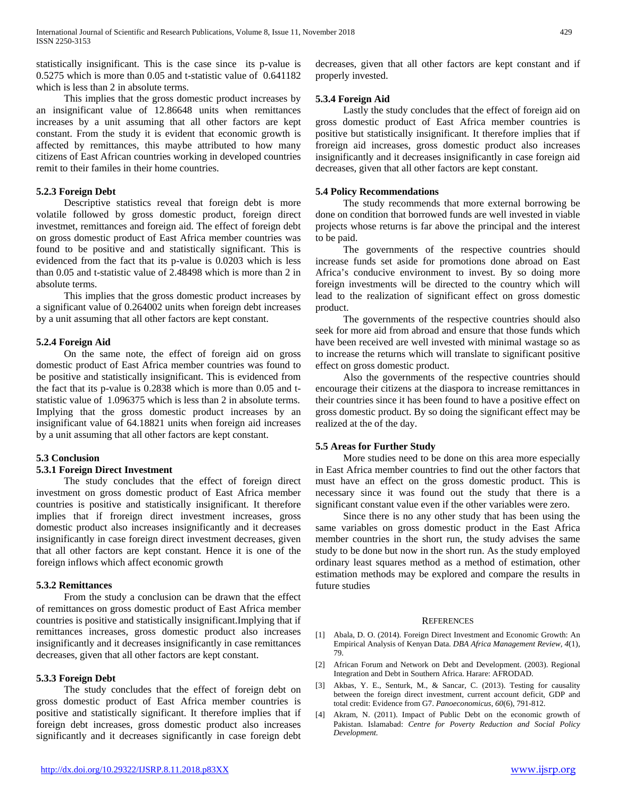statistically insignificant. This is the case since its p-value is 0.5275 which is more than 0.05 and t-statistic value of 0.641182 which is less than 2 in absolute terms.

 This implies that the gross domestic product increases by an insignificant value of 12.86648 units when remittances increases by a unit assuming that all other factors are kept constant. From the study it is evident that economic growth is affected by remittances, this maybe attributed to how many citizens of East African countries working in developed countries remit to their familes in their home countries.

#### **5.2.3 Foreign Debt**

 Descriptive statistics reveal that foreign debt is more volatile followed by gross domestic product, foreign direct investmet, remittances and foreign aid. The effect of foreign debt on gross domestic product of East Africa member countries was found to be positive and and statistically significant. This is evidenced from the fact that its p-value is 0.0203 which is less than 0.05 and t-statistic value of 2.48498 which is more than 2 in absolute terms.

 This implies that the gross domestic product increases by a significant value of 0.264002 units when foreign debt increases by a unit assuming that all other factors are kept constant.

#### **5.2.4 Foreign Aid**

 On the same note, the effect of foreign aid on gross domestic product of East Africa member countries was found to be positive and statistically insignificant. This is evidenced from the fact that its p-value is 0.2838 which is more than 0.05 and tstatistic value of 1.096375 which is less than 2 in absolute terms. Implying that the gross domestic product increases by an insignificant value of 64.18821 units when foreign aid increases by a unit assuming that all other factors are kept constant.

#### **5.3 Conclusion**

#### **5.3.1 Foreign Direct Investment**

 The study concludes that the effect of foreign direct investment on gross domestic product of East Africa member countries is positive and statistically insignificant. It therefore implies that if froreign direct investment increases, gross domestic product also increases insignificantly and it decreases insignificantly in case foreign direct investment decreases, given that all other factors are kept constant. Hence it is one of the foreign inflows which affect economic growth

#### **5.3.2 Remittances**

 From the study a conclusion can be drawn that the effect of remittances on gross domestic product of East Africa member countries is positive and statistically insignificant.Implying that if remittances increases, gross domestic product also increases insignificantly and it decreases insignificantly in case remittances decreases, given that all other factors are kept constant.

#### **5.3.3 Foreign Debt**

 The study concludes that the effect of foreign debt on gross domestic product of East Africa member countries is positive and statistically significant. It therefore implies that if foreign debt increases, gross domestic product also increases significantly and it decreases significantly in case foreign debt decreases, given that all other factors are kept constant and if properly invested.

#### **5.3.4 Foreign Aid**

 Lastly the study concludes that the effect of foreign aid on gross domestic product of East Africa member countries is positive but statistically insignificant. It therefore implies that if froreign aid increases, gross domestic product also increases insignificantly and it decreases insignificantly in case foreign aid decreases, given that all other factors are kept constant.

#### **5.4 Policy Recommendations**

 The study recommends that more external borrowing be done on condition that borrowed funds are well invested in viable projects whose returns is far above the principal and the interest to be paid.

 The governments of the respective countries should increase funds set aside for promotions done abroad on East Africa's conducive environment to invest. By so doing more foreign investments will be directed to the country which will lead to the realization of significant effect on gross domestic product.

 The governments of the respective countries should also seek for more aid from abroad and ensure that those funds which have been received are well invested with minimal wastage so as to increase the returns which will translate to significant positive effect on gross domestic product.

 Also the governments of the respective countries should encourage their citizens at the diaspora to increase remittances in their countries since it has been found to have a positive effect on gross domestic product. By so doing the significant effect may be realized at the of the day.

### **5.5 Areas for Further Study**

 More studies need to be done on this area more especially in East Africa member countries to find out the other factors that must have an effect on the gross domestic product. This is necessary since it was found out the study that there is a significant constant value even if the other variables were zero.

 Since there is no any other study that has been using the same variables on gross domestic product in the East Africa member countries in the short run, the study advises the same study to be done but now in the short run. As the study employed ordinary least squares method as a method of estimation, other estimation methods may be explored and compare the results in future studies

#### **REFERENCES**

- [1] Abala, D. O. (2014). Foreign Direct Investment and Economic Growth: An Empirical Analysis of Kenyan Data. *DBA Africa Management Review, 4*(1), 79.
- [2] African Forum and Network on Debt and Development. (2003). Regional Integration and Debt in Southern Africa. Harare: AFRODAD.
- [3] Akbas, Y. E., Senturk, M., & Sancar, C. (2013). Testing for causality between the foreign direct investment, current account deficit, GDP and total credit: Evidence from G7. *Panoeconomicus*, *60*(6), 791-812.
- [4] Akram, N. (2011). Impact of Public Debt on the economic growth of Pakistan. Islamabad: *Centre for Poverty Reduction and Social Policy Development.*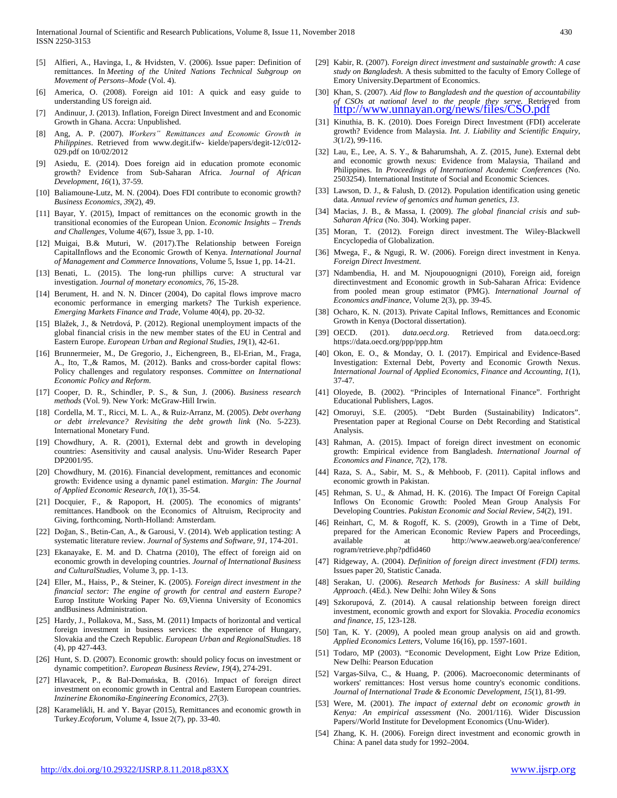- [5] Alfieri, A., Havinga, I., & Hvidsten, V. (2006). Issue paper: Definition of remittances. In *Meeting of the United Nations Technical Subgroup on Movement of Persons–Mode* (Vol. 4).
- America, O. (2008). Foreign aid 101: A quick and easy guide to understanding US foreign aid.
- [7] Andinuur, J. (2013). Inflation, Foreign Direct Investment and and Economic Growth in Ghana. Accra: Unpublished.
- [8] Ang, A. P. (2007). *Workers" Remittances and Economic Growth in Philippines*. Retrieved from www.degit.ifw- kielde/papers/degit-12/c012- 029.pdf on 10/02/2012
- [9] Asiedu, E. (2014). Does foreign aid in education promote economic growth? Evidence from Sub-Saharan Africa. *Journal of African Development*, *16*(1), 37-59.
- [10] Baliamoune-Lutz, M. N. (2004). Does FDI contribute to economic growth? *Business Economics, 39*(2), 49.
- [11] Bayar, Y. (2015), Impact of remittances on the economic growth in the transitional economies of the European Union. *Economic Insights – Trends and Challenges*, Volume 4(67), Issue 3, pp. 1-10.
- [12] Muigai, B.& Muturi, W. (2017).The Relationship between Foreign CapitalInflows and the Economic Growth of Kenya. *International Journal of Management and Commerce Innovations,* Volume 5, Issue 1, pp. 14-21.
- [13] Benati, L. (2015). The long-run phillips curve: A structural var investigation. *Journal of monetary economics*, *76*, 15-28.
- [14] Berument, H. and N. N. Dincer (2004), Do capital flows improve macro economic performance in emerging markets? The Turkish experience. *Emerging Markets Finance and Trade*, Volume 40(4), pp. 20-32.
- [15] Blažek, J., & Netrdová, P. (2012). Regional unemployment impacts of the global financial crisis in the new member states of the EU in Central and Eastern Europe. *European Urban and Regional Studies*, *19*(1), 42-61.
- [16] Brunnermeier, M., De Gregorio, J., Eichengreen, B., El-Erian, M., Fraga, A., Ito, T.,& Ramos, M. (2012). Banks and cross-border capital flows: Policy challenges and regulatory responses. *Committee on International Economic Policy and Reform*.
- [17] Cooper, D. R., Schindler, P. S., & Sun, J. (2006). *Business research methods* (Vol. 9). New York: McGraw-Hill Irwin.
- [18] Cordella, M. T., Ricci, M. L. A., & Ruiz-Arranz, M. (2005). *Debt overhang or debt irrelevance? Revisiting the debt growth link* (No. 5-223). International Monetary Fund.
- [19] Chowdhury, A. R. (2001), External debt and growth in developing countries: Asensitivity and causal analysis. Unu-Wider Research Paper DP2001/95.
- [20] Chowdhury, M. (2016). Financial development, remittances and economic growth: Evidence using a dynamic panel estimation. *Margin: The Journal of Applied Economic Research*, *10*(1), 35-54.
- [21] Docquier, F., & Rapoport, H. (2005). The economics of migrants' remittances. Handbook on the Economics of Altruism, Reciprocity and Giving, forthcoming, North-Holland: Amsterdam.
- [22] Doğan, S., Betin-Can, A., & Garousi, V. (2014). Web application testing: A systematic literature review. *Journal of Systems and Software*, *91*, 174-201.
- [23] Ekanayake, E. M. and D. Chatrna (2010), The effect of foreign aid on economic growth in developing countries. *Journal of International Business and CulturalStudies*, Volume 3, pp. 1-13.
- [24] Eller, M., Haiss, P., & Steiner, K. (2005). *Foreign direct investment in the financial sector: The engine of growth for central and eastern Europe?* Europ Institute Working Paper No. 69,Vienna University of Economics andBusiness Administration.
- [25] Hardy, J., Pollakova, M., Sass, M. (2011) Impacts of horizontal and vertical foreign investment in business services: the experience of Hungary, Slovakia and the Czech Republic. *European Urban and RegionalStudies*. 18 (4), pp 427-443.
- [26] Hunt, S. D. (2007). Economic growth: should policy focus on investment or dynamic competition?. *European Business Review*, *19*(4), 274-291.
- [27] Hlavacek, P., & Bal-Domańska, B. (2016). Impact of foreign direct investment on economic growth in Central and Eastern European countries. *Inzinerine Ekonomika-Engineering Economics*, *27*(3).
- [28] Karamelikli, H. and Y. Bayar (2015), Remittances and economic growth in Turkey.*Ecoforum*, Volume 4, Issue 2(7), pp. 33-40.
- [29] Kabir, R. (2007). *Foreign direct investment and sustainable growth: A case study on Bangladesh.* A thesis submitted to the faculty of Emory College of Emory University.Department of Economics.
- [30] Khan, S. (2007). *Aid flow to Bangladesh and the question of accountability of CSOs at national level to the people they serve.* Retrieved from **<http://www.unnayan.org/news/files/CSO.pdf>**
- [31] Kinuthia, B. K. (2010). Does Foreign Direct Investment (FDI) accelerate growth? Evidence from Malaysia. *Int. J. Liability and Scientific Enquiry, 3*(1/2), 99-116.
- [32] Lau, E., Lee, A. S. Y., & Baharumshah, A. Z. (2015, June). External debt and economic growth nexus: Evidence from Malaysia, Thailand and Philippines. In *Proceedings of International Academic Conferences* (No. 2503254). International Institute of Social and Economic Sciences.
- [33] Lawson, D. J., & Falush, D. (2012). Population identification using genetic data. *Annual review of genomics and human genetics*, *13*.
- [34] Macias, J. B., & Massa, I. (2009). *The global financial crisis and sub-Saharan Africa* (No. 304). Working paper.
- [35] Moran, T. (2012). Foreign direct investment. The Wiley-Blackwell Encyclopedia of Globalization.
- [36] Mwega, F., & Ngugi, R. W. (2006). Foreign direct investment in Kenya. *Foreign Direct Investment*.
- [37] Ndambendia, H. and M. Njoupouognigni (2010), Foreign aid, foreign directinvestment and Economic growth in Sub-Saharan Africa: Evidence from pooled mean group estimator (PMG). *International Journal of Economics andFinance*, Volume 2(3), pp. 39-45.
- [38] Ocharo, K. N. (2013). Private Capital Inflows, Remittances and Economic Growth in Kenya (Doctoral dissertation).
- [39] OECD. (201). *data.oecd.org*. Retrieved from data.oecd.org: https://data.oecd.org/ppp/ppp.htm
- [40] Okon, E. O., & Monday, O. I. (2017). Empirical and Evidence-Based Investigation: External Debt, Poverty and Economic Growth Nexus. *International Journal of Applied Economics, Finance and Accounting*, *1*(1), 37-47.
- [41] Oloyede, B. (2002). "Principles of International Finance". Forthright Educational Publishers, Lagos.
- [42] Omoruyi, S.E. (2005). "Debt Burden (Sustainability) Indicators". Presentation paper at Regional Course on Debt Recording and Statistical Analysis.
- [43] Rahman, A. (2015). Impact of foreign direct investment on economic growth: Empirical evidence from Bangladesh. *International Journal of Economics and Finance*, *7*(2), 178.
- [44] Raza, S. A., Sabir, M. S., & Mehboob, F. (2011). Capital inflows and economic growth in Pakistan.
- [45] Rehman, S. U., & Ahmad, H. K. (2016). The Impact Of Foreign Capital Inflows On Economic Growth: Pooled Mean Group Analysis For Developing Countries. *Pakistan Economic and Social Review*, *54*(2), 191.
- [46] Reinhart, C, M. & Rogoff, K. S. (2009), Growth in a Time of Debt, prepared for the American Economic Review Papers and Proceedings, available at http://www.aeaweb.org/aea/conference/ rogram/retrieve.php?pdfid460
- [47] Ridgeway, A. (2004). *Definition of foreign direct investment (FDI) terms.*  Issues paper 20, Statistic Canada.
- [48] Serakan, U. (2006). *Research Methods for Business: A skill building Approach*. (4Ed.). New Delhi: John Wiley & Sons
- [49] Szkorupová, Z. (2014). A causal relationship between foreign direct investment, economic growth and export for Slovakia. *Procedia economics and finance*, *15*, 123-128.
- [50] Tan, K. Y. (2009), A pooled mean group analysis on aid and growth. *Applied Economics Letters*, Volume 16(16), pp. 1597-1601.
- [51] Todaro, MP (2003). "Economic Development, Eight Low Prize Edition, New Delhi: Pearson Education
- [52] Vargas-Silva, C., & Huang, P. (2006). Macroeconomic determinants of workers' remittances: Host versus home country's economic conditions. *Journal of International Trade & Economic Development*, *15*(1), 81-99.
- [53] Were, M. (2001). *The impact of external debt on economic growth in Kenya: An empirical assessment* (No. 2001/116). Wider Discussion Papers//World Institute for Development Economics (Unu-Wider).
- [54] Zhang, K. H. (2006). Foreign direct investment and economic growth in China: A panel data study for 1992–2004.